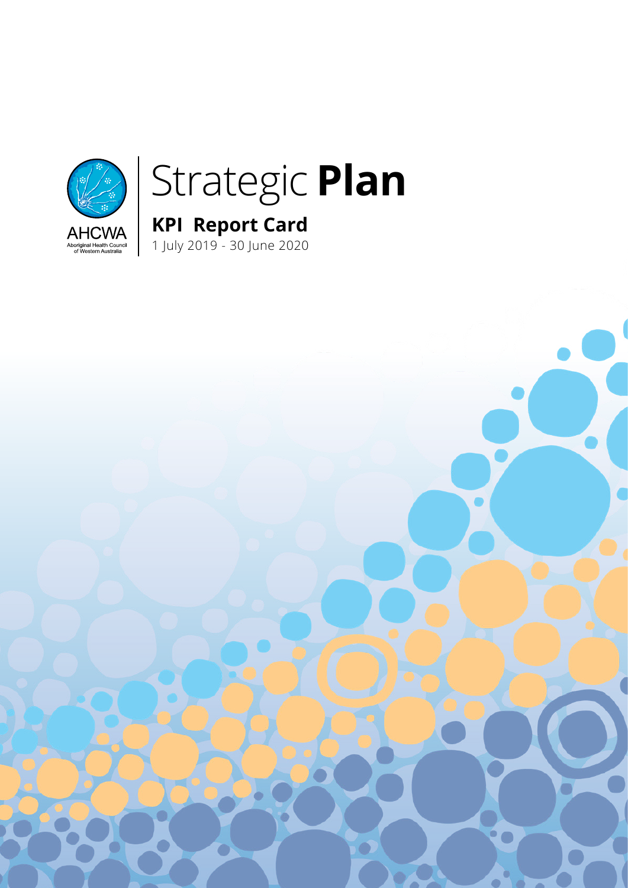

# Strategic **Plan**

**KPI Report Card** 

1 July 2019 - 30 June 2020

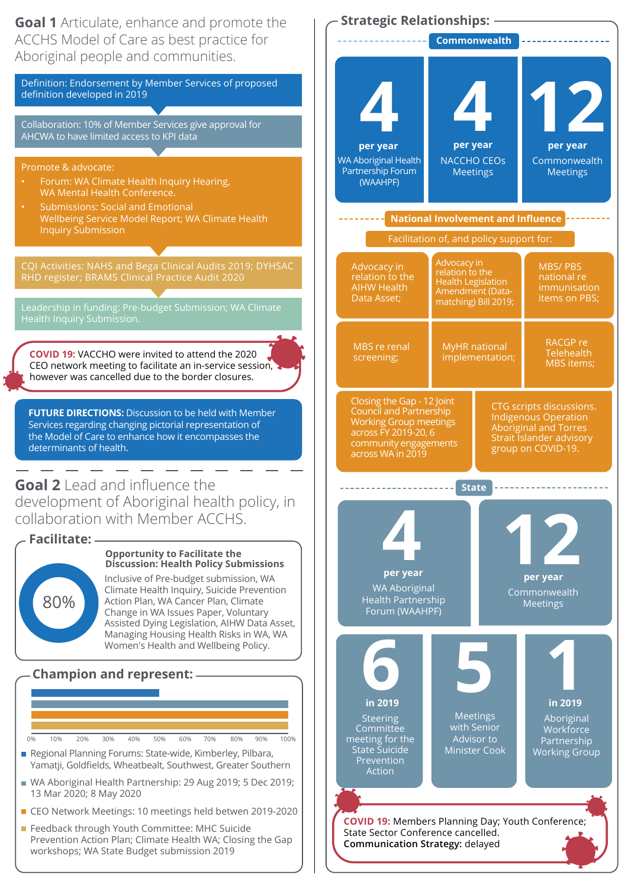

Definition: Endorsement by Member Services of proposed definition developed in 2019

Collaboration: 10% of Member Services give approval for AHCWA to have limited access to KPI data

Promote & advocate:

- Forum: WA Climate Health Inquiry Hearing, WA Mental Health Conference.
- Submissions: Social and Emotional Wellbeing Service Model Report; WA Climate Health Inquiry Submission

CQI Activities: NAHS and Bega Clinical Audits 2019; DYHSAC RHD register; BRAMS Clinical Practice Audit 2020

Leadership in funding: Pre-budget Submission; WA Climate

**COVID 19:** VACCHO were invited to attend the 2020 CEO network meeting to facilitate an in-service session, however was cancelled due to the border closures.

**FUTURE DIRECTIONS:** Discussion to be held with Member Services regarding changing pictorial representation of the Model of Care to enhance how it encompasses the determinants of health.

**Goal 2** Lead and influence the development of Aboriginal health policy, in collaboration with Member ACCHS.

80% **Facilitate:**

#### **Opportunity to Facilitate the Discussion: Health Policy Submissions**

Inclusive of Pre-budget submission, WA Climate Health Inquiry, Suicide Prevention Action Plan, WA Cancer Plan, Climate Change in WA Issues Paper, Voluntary Assisted Dying Legislation, AIHW Data Asset, Managing Housing Health Risks in WA, WA Women's Health and Wellbeing Policy.

## **Champion and represent:**



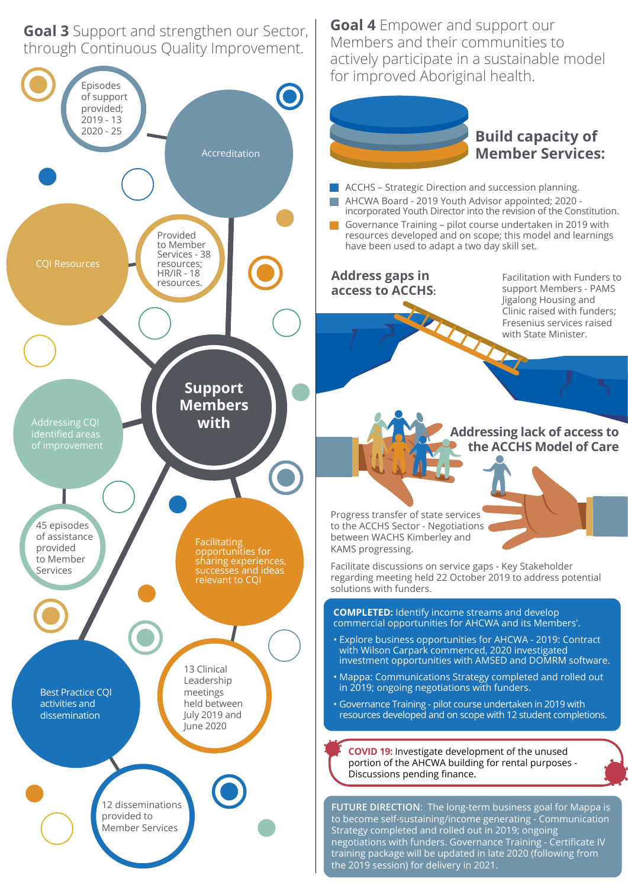**Goal 3** Support and strengthen our Sector, through Continuous Quality Improvement.

**Goal 4** Empower and support our Members and their communities to actively participate in a sustainable model for improved Aboriginal health.